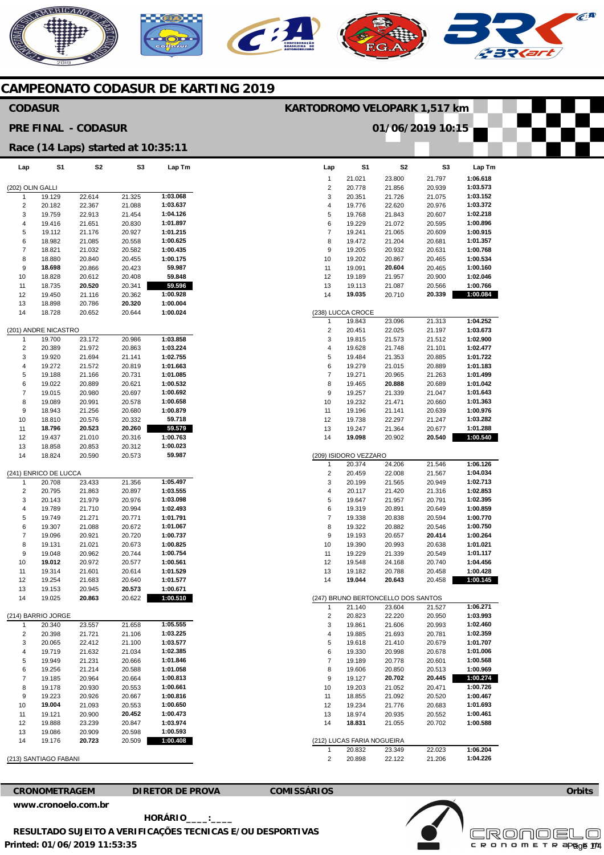# NERICANO  $\epsilon$ A

**KARTODROMO VELOPARK 1,517 km** 

**01/06/2019 10:15** 

### **CAMPEONATO CODASUR DE KARTING 2019**

**S3** 

**Lap Tm** 

#### **Lap**  (202) OLIN GALLI **S1 S2 CODASUR PRE FINAL - CODASUR Race (14 Laps) started at 10:35:11**

| 1                  | 19.129                | 22.614 | 21.325 | 1:03.068 |  |  |
|--------------------|-----------------------|--------|--------|----------|--|--|
| 2                  | 20.182                | 22.367 | 21.088 | 1:03.637 |  |  |
| 3                  | 19.759                | 22.913 | 21.454 | 1:04.126 |  |  |
| 4                  | 19.416                | 21.651 | 20.830 | 1:01.897 |  |  |
| 5                  | 19.112                | 21.176 | 20.927 | 1:01.215 |  |  |
| 6                  | 18.982                | 21.085 | 20.558 | 1:00.625 |  |  |
| 7                  | 18.821                | 21.032 | 20.582 | 1:00.435 |  |  |
| 8                  | 18.880                | 20.840 | 20.455 | 1:00.175 |  |  |
|                    |                       |        |        |          |  |  |
| 9                  | 18.698                | 20.866 | 20.423 | 59.987   |  |  |
| 10                 | 18.828                | 20.612 | 20.408 | 59.848   |  |  |
| 11                 | 18.735                | 20.520 | 20.341 | 59.596   |  |  |
| 12                 | 19.450                | 21.116 | 20.362 | 1:00.928 |  |  |
| 13                 | 18.898                | 20.786 | 20.320 | 1:00.004 |  |  |
| 14                 | 18.728                | 20.652 | 20.644 | 1:00.024 |  |  |
|                    | (201) ANDRE NICASTRO  |        |        |          |  |  |
| 1                  | 19.700                | 23.172 | 20.986 | 1:03.858 |  |  |
| 2                  | 20.389                | 21.972 | 20.863 | 1:03.224 |  |  |
| 3                  | 19.920                | 21.694 | 21.141 | 1:02.755 |  |  |
|                    |                       |        |        |          |  |  |
| 4                  | 19.272                | 21.572 | 20.819 | 1:01.663 |  |  |
| 5                  | 19.188                | 21.166 | 20.731 | 1:01.085 |  |  |
| 6                  | 19.022                | 20.889 | 20.621 | 1:00.532 |  |  |
| 7                  | 19.015                | 20.980 | 20.697 | 1:00.692 |  |  |
| 8                  | 19.089                | 20.991 | 20.578 | 1:00.658 |  |  |
| 9                  | 18.943                | 21.256 | 20.680 | 1:00.879 |  |  |
| 10                 | 18.810                | 20.576 | 20.332 | 59.718   |  |  |
| 11                 | 18.796                | 20.523 | 20.260 | 59.579   |  |  |
| 12                 | 19.437                | 21.010 | 20.316 | 1:00.763 |  |  |
| 13                 | 18.858                | 20.853 | 20.312 | 1:00.023 |  |  |
| 14                 | 18.824                | 20.590 | 20.573 | 59.987   |  |  |
|                    |                       |        |        |          |  |  |
|                    | (241) ENRICO DE LUCCA |        |        |          |  |  |
| 1                  | 20.708                | 23.433 | 21.356 | 1:05.497 |  |  |
| 2                  | 20.795                | 21.863 | 20.897 | 1:03.555 |  |  |
|                    |                       |        |        | 1:03.098 |  |  |
| 3                  | 20.143                | 21.979 | 20.976 |          |  |  |
| 4                  | 19.789                | 21.710 | 20.994 | 1:02.493 |  |  |
| 5                  | 19.749                | 21.271 | 20.771 | 1:01.791 |  |  |
| 6                  | 19.307                | 21.088 | 20.672 | 1:01.067 |  |  |
| 7                  | 19.096                | 20.921 | 20.720 | 1:00.737 |  |  |
| 8                  | 19.131                | 21.021 | 20.673 | 1:00.825 |  |  |
| 9                  | 19.048                | 20.962 | 20.744 | 1:00.754 |  |  |
| 10                 | 19.012                | 20.972 | 20.577 | 1:00.561 |  |  |
| 11                 | 19.314                | 21.601 | 20.614 | 1:01.529 |  |  |
| 12                 | 19.254                | 21.683 | 20.640 | 1:01.577 |  |  |
| 13                 | 19.153                | 20.945 | 20.573 | 1:00.671 |  |  |
| 14                 | 19.025                | 20.863 | 20.622 | 1:00.510 |  |  |
|                    |                       |        |        |          |  |  |
| (214) BARRIO JORGE |                       |        |        |          |  |  |
| 1                  | 20.340                | 23.557 | 21.658 | 1:05.555 |  |  |
| 2                  | 20.398                | 21.721 | 21.106 | 1:03.225 |  |  |
| 3                  | 20.065                | 22.412 | 21.100 | 1:03.577 |  |  |
| 4                  | 19.719                | 21.632 | 21.034 | 1:02.385 |  |  |
| 5                  | 19.949                | 21.231 | 20.666 | 1:01.846 |  |  |
| 6                  | 19.256                | 21.214 | 20.588 | 1:01.058 |  |  |
|                    |                       |        |        |          |  |  |
| 7                  | 19.185                | 20.964 | 20.664 | 1:00.813 |  |  |
| 8                  | 19.178                | 20.930 | 20.553 | 1:00.661 |  |  |
| 9                  | 19.223                | 20.926 | 20.667 | 1:00.816 |  |  |
| 10                 | 19.004                | 21.093 | 20.553 | 1:00.650 |  |  |
| 11                 | 19.121                | 20.900 | 20.452 | 1:00.473 |  |  |
| 12                 | 19.888                | 23.239 | 20.847 | 1:03.974 |  |  |
| 13                 | 19.086                | 20.909 | 20.598 | 1:00.593 |  |  |
| 14                 | 19.176                | 20.723 | 20.509 | 1:00.408 |  |  |
|                    |                       |        |        |          |  |  |

#### (213) SANTIAGO FABANI

**CRONOMETRAGEM DIRETOR DE PROVA COMISSÁRIOS** 

**Printed: 01/06/2019 11:53:35 [www.cronoelo.com.br](http://www.cronoelo.com.br) HORÁRIO\_\_\_\_:\_\_\_\_ RESULTADO SUJEITO A VERIFICAÇÕES TECNICAS E/OU DESPORTIVAS** 

| Lap                                | S1                                   | S2               | S3               | Lap Tm               |  |  |
|------------------------------------|--------------------------------------|------------------|------------------|----------------------|--|--|
| 1                                  | 21.021                               | 23.800           | 21.797           | 1:06.618             |  |  |
| 2                                  | 20.778                               | 21.856           | 20.939           | 1:03.573             |  |  |
| 3                                  | 20.351                               | 21.726           | 21.075           | 1:03.152             |  |  |
| 4                                  | 19.776                               | 22.620           | 20.976           | 1:03.372             |  |  |
| 5                                  | 19.768                               | 21.843           | 20.607           | 1:02.218             |  |  |
| 6                                  | 19.229                               | 21.072           | 20.595           | 1:00.896             |  |  |
| 7                                  | 19.241                               | 21.065           | 20.609           | 1:00.915             |  |  |
| 8                                  | 19.472                               | 21.204           | 20.681           | 1:01.357             |  |  |
| 9<br>10                            | 19.205<br>19.202                     | 20.932           | 20.631           | 1:00.768<br>1:00.534 |  |  |
| 11                                 | 19.091                               | 20.867<br>20.604 | 20.465<br>20.465 | 1:00.160             |  |  |
| 12                                 | 19.189                               | 21.957           | 20.900           | 1:02.046             |  |  |
| 13                                 | 19.113                               | 21.087           | 20.566           | 1:00.766             |  |  |
| 14                                 | 19.035                               | 20.710           | 20.339           | 1:00.084             |  |  |
|                                    | (238) LUCCA CROCE                    |                  |                  |                      |  |  |
| 1                                  | 19.843                               | 23.096           | 21.313           | 1:04.252             |  |  |
| 2                                  | 20.451                               | 22.025           | 21.197           | 1:03.673             |  |  |
| 3                                  | 19.815                               | 21.573           | 21.512           | 1:02.900             |  |  |
| 4                                  | 19.628                               | 21.748           | 21.101           | 1:02.477             |  |  |
| 5                                  | 19.484                               | 21.353           | 20.885           | 1:01.722             |  |  |
| 6                                  | 19.279                               | 21.015           | 20.889           | 1:01.183             |  |  |
| 7                                  | 19.271                               | 20.965           | 21.263           | 1:01.499             |  |  |
| 8                                  | 19.465                               | 20.888           | 20.689           | 1:01.042             |  |  |
| 9                                  | 19.257                               | 21.339           | 21.047           | 1:01.643             |  |  |
| 10                                 | 19.232                               | 21.471           | 20.660           | 1:01.363             |  |  |
| 11                                 | 19.196                               | 21.141           | 20.639           | 1:00.976             |  |  |
| 12                                 | 19.738                               | 22.297           | 21.247           | 1:03.282<br>1:01.288 |  |  |
| 13<br>14                           | 19.247<br>19.098                     | 21.364<br>20.902 | 20.677<br>20.540 | 1:00.540             |  |  |
|                                    |                                      |                  |                  |                      |  |  |
|                                    | (209) ISIDORO VEZZARO                |                  |                  |                      |  |  |
| 1                                  | 20.374                               | 24.206           | 21.546           | 1:06.126             |  |  |
| 2                                  | 20.459                               | 22.008           | 21.567           | 1:04.034             |  |  |
| 3                                  | 20.199                               | 21.565           | 20.949           | 1:02.713             |  |  |
| 4                                  | 20.117                               | 21.420           | 21.316           | 1:02.853             |  |  |
| 5                                  | 19.647                               | 21.957           | 20.791           | 1:02.395             |  |  |
| 6<br>7                             | 19.319<br>19.338                     | 20.891<br>20.838 | 20.649<br>20.594 | 1:00.859<br>1:00.770 |  |  |
| 8                                  | 19.322                               | 20.882           | 20.546           | 1:00.750             |  |  |
| 9                                  | 19.193                               | 20.657           | 20.414           | 1:00.264             |  |  |
| 10                                 | 19.390                               | 20.993           | 20.638           | 1:01.021             |  |  |
| 11                                 | 19.229                               | 21.339           | 20.549           | 1:01.117             |  |  |
| 12                                 | 19.548                               | 24.168           | 20.740           | 1:04.456             |  |  |
| 13                                 | 19.182                               | 20.788           | 20.458           | 1:00.428             |  |  |
| 14                                 | 19.044                               | 20.643           | 20.458           | 1:00.145             |  |  |
| (247) BRUNO BERTONCELLO DOS SANTOS |                                      |                  |                  |                      |  |  |
| 1                                  | 21.140                               | 23.604           | 21.527           | 1:06.271             |  |  |
| 2                                  | 20.823                               | 22.220           | 20.950           | 1:03.993             |  |  |
| 3                                  | 19.861                               | 21.606           | 20.993           | 1:02.460             |  |  |
| 4                                  | 19.885                               | 21.693           | 20.781           | 1:02.359             |  |  |
| 5                                  | 19.618                               | 21.410           | 20.679           | 1:01.707             |  |  |
| 6                                  | 19.330                               | 20.998           | 20.678           | 1:01.006             |  |  |
| 7                                  | 19.189                               | 20.778           | 20.601           | 1:00.568             |  |  |
| 8                                  | 19.606                               | 20.850           | 20.513           | 1:00.969             |  |  |
| 9                                  | 19.127                               | 20.702<br>21.052 | 20.445           | 1:00.274<br>1:00.726 |  |  |
| 10<br>11                           | 19.203<br>18.855                     | 21.092           | 20.471<br>20.520 | 1:00.467             |  |  |
| 12                                 | 19.234                               | 21.776           | 20.683           | 1:01.693             |  |  |
| 13                                 | 18.974                               | 20.935           | 20.552           | 1:00.461             |  |  |
| 14                                 | 18.831                               | 21.055           | 20.702           | 1:00.588             |  |  |
|                                    |                                      |                  |                  |                      |  |  |
| 1                                  | (212) LUCAS FARIA NOGUEIRA<br>20.832 | 23.349           | 22.023           | 1:06.204             |  |  |
| 2                                  | 20.898                               | 22.122           | 21.206           | 1:04.226             |  |  |



**Orbits**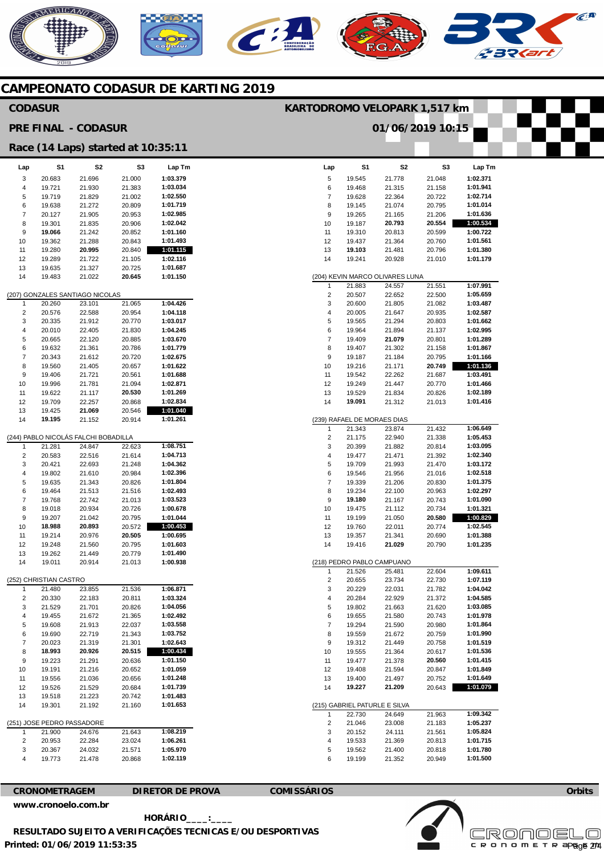# AERICANO  $\widehat{C}^{\text{A}}$

#### **CAMPEONATO CODASUR DE KARTING 2019**

#### **CODASUR**

**KARTODROMO VELOPARK 1,517 km** 

**S1**  19.545

**S2**  21.778

**S3**  21.048

**Lap**  5



**Lap Tm 1:02.371** 

#### **Lap**  3 4 5 6 7 8 9 10 11 12 13 14 (207) GONZALES SANTIAGO NICOLAS 1 2 3 4 5 6 7 8 9 10 11 12 13 14 (244) PABLO NICOLÁS FALCHI BOBADILLA 1 2 3 4 5 6 7 8 9 10 11 12 13 14 (252) CHRISTIAN CASTRO  $\overline{1}$ 2 3 4 5 6 7 8 9 10 11 12 13 14 (251) JOSE PEDRO PASSADORE 1 2 3 4 **S1**  20.683 19.721 19.719 19.638 20.127 19.301 **19.066**  19.362 19.280 19.289 19.635 19.483 20.260 20.576 20.335 20.010 20.665 19.632 20.343 19.560 19.406 19.996 19.622 19.709 19.425 **19.195**  21.281 20.583 20.421 19.802 19.635 19.464 19.768 19.018 19.207 **18.988**  19.214 19.248 19.262 19.011 21.480 20.330 21.529 19.455 19.608 19.690 20.023 **18.993**  19.223 19.191 19.556 19.526 19.518 19.301 21.900 20.953 20.367 19.773 **S2**  21.696 21.930 21.829 21.272 21.905 21.835 21.242 21.288 **20.995**  21.722 21.327 21.022 23.101 22.588 21.912 22.405 22.120 21.361 21.612 21.405 21.721 21.781 21.117 22.257 **21.069**  21.152 24.847 22.516 22.693 21.610 21.343 21.513 22.742 20.934 21.042 **20.893**  20.976 21.560 21.449 20.914 23.855 22.183 21.701 21.672 21.913 22.719 21.319 **20.926**  21.291 21.216 21.036 21.529 21.223 21.192 24.676 22.284 24.032 21.478 **S3**  21.000 21.383 21.002 20.809 20.953 20.906 20.852 20.843 20.840 21.105 20.725 **20.645**  21.065 20.954 20.770 21.830 20.885 20.786 20.720 20.657 20.561 21.094 **20.530**  20.868 20.546 20.914 22.623 21.614 21.248 20.984 20.826 21.516 21.013 20.726 20.795 20.572 **20.505**  20.795 20.779 21.013 21.536 20.811 20.826 21.365 22.037 21.343 21.301 **20.515**  20.636 20.652 20.656 20.684 20.742 21.160 21.643 23.024 21.571 20.868 **Lap Tm 1:03.379 1:03.034 1:02.550 1:01.719 1:02.985 1:02.042 1:01.160 1:01.493 1:01.115 1:02.116 1:01.687 1:01.150 1:04.426 1:04.118 1:03.017 1:04.245 1:03.670 1:01.779 1:02.675 1:01.622 1:01.688 1:02.871 1:01.269 1:02.834 1:01.040 1:01.261 1:08.751 1:04.713 1:04.362 1:02.396 1:01.804 1:02.493 1:03.523 1:00.678 1:01.044 1:00.453 1:00.695 1:01.603 1:01.490 1:00.938 1:06.871 1:03.324 1:04.056 1:02.492 1:03.558 1:03.752 1:02.643 1:00.434 1:01.150 1:01.059 1:01.248 1:01.739 1:01.483 1:01.653 1:08.219 1:06.261 1:05.970 1:02.119 PRE FINAL - CODASUR Race (14 Laps) started at 10:35:11**

| 6       | 19.468                        | 21.315                          | 21.158           | 1:01.941             |
|---------|-------------------------------|---------------------------------|------------------|----------------------|
| 7       | 19.628                        | 22.364                          | 20.722           | 1:02.714             |
| 8       | 19.145                        | 21.074                          | 20.795           | 1:01.014             |
| 9       | 19.265                        | 21.165                          | 21.206           | 1:01.636             |
| 10      | 19.187                        | 20.793                          | 20.554           | 1:00.534             |
| 11      | 19.310                        | 20.813                          | 20.599           | 1:00.722             |
| 12      | 19.437                        | 21.364                          | 20.760           | 1:01.561             |
| 13      | 19.103                        | 21.481                          | 20.796           | 1:01.380             |
| 14      | 19.241                        | 20.928                          | 21.010           | 1:01.179             |
|         |                               |                                 |                  |                      |
|         |                               | (204) KEVIN MARCO OLIVARES LUNA |                  |                      |
| 1       | 21.883                        | 24.557                          | 21.551           | 1:07.991             |
| 2       | 20.507                        | 22.652                          | 22.500           | 1:05.659<br>1:03.487 |
| 3<br>4  | 20.600<br>20.005              | 21.805<br>21.647                | 21.082<br>20.935 | 1:02.587             |
| 5       | 19.565                        | 21.294                          | 20.803           | 1:01.662             |
| 6       | 19.964                        | 21.894                          | 21.137           | 1:02.995             |
| 7       | 19.409                        | 21.079                          | 20.801           | 1:01.289             |
| 8       | 19.407                        | 21.302                          | 21.158           | 1:01.867             |
| 9       | 19.187                        | 21.184                          | 20.795           | 1:01.166             |
| 10      | 19.216                        | 21.171                          | 20.749           | 1:01.136             |
| 11      | 19.542                        | 22.262                          | 21.687           | 1:03.491             |
| 12      | 19.249                        | 21.447                          | 20.770           | 1:01.466             |
| 13      | 19.529                        | 21.834                          | 20.826           | 1:02.189             |
| 14      | 19.091                        | 21.312                          | 21.013           | 1:01.416             |
|         |                               |                                 |                  |                      |
|         | (239) RAFAEL DE MORAES DIAS   |                                 |                  |                      |
| 1       | 21.343                        | 23.874                          | 21.432           | 1:06.649             |
| 2       | 21.175                        | 22.940                          | 21.338           | 1:05.453             |
| 3       | 20.399                        | 21.882                          | 20.814           | 1:03.095             |
| 4       | 19.477                        | 21.471                          | 21.392           | 1:02.340             |
| 5       | 19.709                        | 21.993                          | 21.470           | 1:03.172             |
| 6       | 19.546                        | 21.956                          | 21.016           | 1:02.518             |
| 7       | 19.339                        | 21.206                          | 20.830           | 1:01.375             |
| 8       | 19.234                        | 22.100                          | 20.963           | 1:02.297             |
| 9<br>10 | 19.180<br>19.475              | 21.167<br>21.112                | 20.743<br>20.734 | 1:01.090<br>1:01.321 |
| 11      | 19.199                        | 21.050                          | 20.580           | 1:00.829             |
| 12      | 19.760                        | 22.011                          | 20.774           | 1:02.545             |
| 13      | 19.357                        | 21.341                          | 20.690           | 1:01.388             |
| 14      | 19.416                        | 21.029                          | 20.790           | 1:01.235             |
|         |                               |                                 |                  |                      |
|         | (218) PEDRO PABLO CAMPUANO    |                                 |                  |                      |
| 1       | 21.526                        | 25.481                          | 22.604           | 1:09.611             |
| 2       |                               |                                 |                  |                      |
|         | 20.655                        | 23.734                          | 22.730           | 1:07.119             |
| 3       | 20.229                        | 22.031                          | 21.782           | 1:04.042             |
| 4       | 20.284                        | 22.929                          | 21.372           | 1:04.585             |
| 5       | 19.802                        | 21.663                          | 21.620           | 1:03.085             |
| 6       | 19.655                        | 21.580                          | 20.743           | 1:01.978             |
| 7       | 19.294                        | 21.590                          | 20.980           | 1:01.864             |
| 8       | 19.559                        | 21.672                          | 20.759           | 1:01.990             |
| 9       | 19.312                        | 21.449                          | 20.758           | 1:01.519             |
| 10      | 19.555                        | 21.364                          | 20.617           | 1:01.536             |
| 11      | 19.477                        | 21.378                          | 20.560           | 1:01.415             |
| 12      | 19.408                        | 21.594                          | 20.847           | 1:01.849             |
| 13      | 19.400                        | 21.497                          | 20.752           | 1:01.649             |
| 14      | 19.227                        | 21.209                          | 20.643           | 1:01.079             |
|         | (215) GABRIEL PATURLE E SILVA |                                 |                  |                      |
| 1       | 22.730                        | 24.649                          | 21.963           | 1:09.342             |
| 2       | 21.046                        | 23.008                          | 21.183           | 1:05.237             |
| 3       | 20.152                        | 24.111                          | 21.561           | 1:05.824             |
| 4       | 19.533                        | 21.369                          | 20.813           | 1:01.715             |
| 5<br>6  | 19.562<br>19.199              | 21.400<br>21.352                | 20.818<br>20.949 | 1:01.780<br>1:01.500 |

#### **CRONOMETRAGEM DIRETOR DE PROVA COMISSÁRIOS [www.cronoelo.com.br](http://www.cronoelo.com.br)**



**Orbits** 

**Printed: 01/06/2019 11:53:35 HORÁRIO\_\_\_\_:\_\_\_\_ RESULTADO SUJEITO A VERIFICAÇÕES TECNICAS E/OU DESPORTIVAS** 

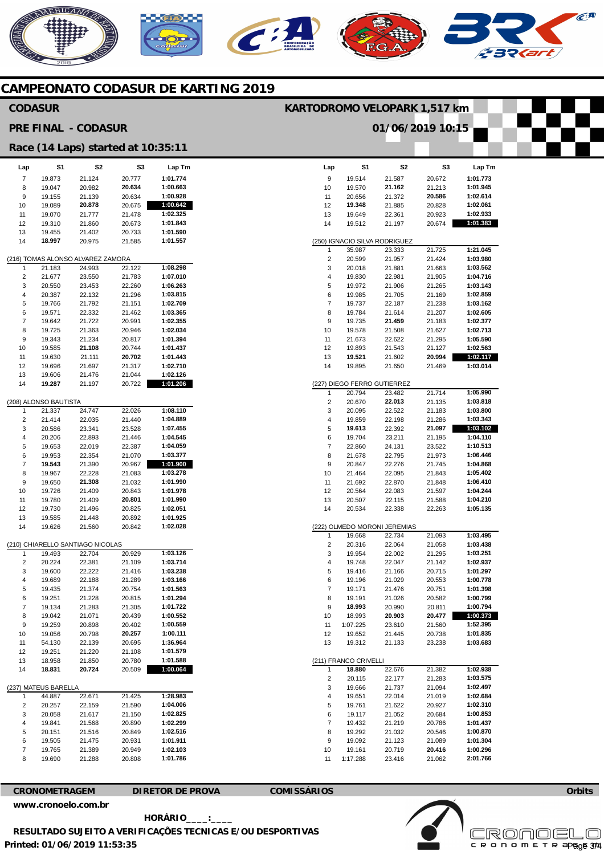### NERICANO  $\epsilon$ A  $\mathbf{C}$

#### **CAMPEONATO CODASUR DE KARTING 2019**

#### **CODASUR**

#### **PRE FINAL - CODASUR**

#### **KARTODROMO VELOPARK 1,517 km**

**01/06/2019 10:15** 

|          |                                | Race (14 Laps) started at 10:35:11          |                  |                      |
|----------|--------------------------------|---------------------------------------------|------------------|----------------------|
| Lap      | S1                             | S2                                          | S3               | Lap Tm               |
| 7        | 19.873                         | 21.124                                      | 20.777           | 1:01.774             |
| 8        | 19.047                         | 20.982                                      | 20.634           | 1:00.663             |
| 9        | 19.155                         | 21.139                                      | 20.634           | 1:00.928             |
| 10       | 19.089                         | 20.878                                      | 20.675           | 1:00.642             |
| 11<br>12 | 19.070<br>19.310               | 21.777<br>21.860                            | 21.478<br>20.673 | 1:02.325<br>1:01.843 |
| 13       | 19.455                         | 21.402                                      | 20.733           | 1:01.590             |
| 14       | 18.997                         | 20.975                                      | 21.585           | 1:01.557             |
|          |                                |                                             |                  |                      |
| 1        | 21.183                         | (216) TOMAS ALONSO ALVAREZ ZAMORA<br>24.993 | 22.122           | 1:08.298             |
| 2        | 21.677                         | 23.550                                      | 21.783           | 1:07.010             |
| 3        | 20.550                         | 23.453                                      | 22.260           | 1:06.263             |
| 4        | 20.387                         | 22.132                                      | 21.296           | 1:03.815             |
| 5        | 19.766                         | 21.792                                      | 21.151           | 1:02.709             |
| 6        | 19.571                         | 22.332                                      | 21.462           | 1:03.365             |
| 7        | 19.642                         | 21.722                                      | 20.991           | 1:02.355             |
| 8        | 19.725                         | 21.363                                      | 20.946           | 1:02.034             |
| 9<br>10  | 19.343<br>19.585               | 21.234<br>21.108                            | 20.817<br>20.744 | 1:01.394<br>1:01.437 |
| 11       | 19.630                         | 21.111                                      | 20.702           | 1:01.443             |
| 12       | 19.696                         | 21.697                                      | 21.317           | 1:02.710             |
| 13       | 19.606                         | 21.476                                      | 21.044           | 1:02.126             |
| 14       | 19.287                         | 21.197                                      | 20.722           | 1:01.206             |
|          | (208) ALONSO BAUTISTA          |                                             |                  |                      |
| 1        | 21.337                         | 24.747                                      | 22.026           | 1:08.110             |
| 2        | 21.414                         | 22.035                                      | 21.440           | 1:04.889             |
| 3        | 20.586                         | 23.341                                      | 23.528           | 1:07.455             |
| 4        | 20.206                         | 22.893                                      | 21.446           | 1:04.545             |
| 5        | 19.653                         | 22.019                                      | 22.387           | 1:04.059             |
| 6        | 19.953                         | 22.354                                      | 21.070           | 1:03.377             |
| 7<br>8   | 19.543<br>19.967               | 21.390<br>22.228                            | 20.967<br>21.083 | 1:01.900<br>1:03.278 |
| 9        | 19.650                         | 21.308                                      | 21.032           | 1:01.990             |
| 10       | 19.726                         | 21.409                                      | 20.843           | 1:01.978             |
| 11       | 19.780                         | 21.409                                      | 20.801           | 1:01.990             |
| 12       | 19.730                         | 21.496                                      | 20.825           | 1:02.051             |
| 13       | 19.585                         | 21.448                                      | 20.892           | 1:01.925             |
| 14       | 19.626                         | 21.560                                      | 20.842           | 1:02.028             |
|          |                                | (210) CHIARELLO SANTIAGO NICOLAS            |                  |                      |
| 1        | 19.493                         | 22.704                                      | 20.929           | 1:03.126             |
| 2        | 20.224                         | 22.381                                      | 21.109           | 1:03.714             |
| 3<br>4   | 19.600                         | 22.222                                      | 21.416           | 1:03.238<br>1:03.166 |
| 5        | 19.689<br>19.435               | 22.188<br>21.374                            | 21.289<br>20.754 | 1:01.563             |
| 6        | 19.251                         | 21.228                                      | 20.815           | 1:01.294             |
| 7        | 19.134                         | 21.283                                      | 21.305           | 1:01.722             |
| 8        | 19.042                         | 21.071                                      | 20.439           | 1:00.552             |
| 9        | 19.259                         | 20.898                                      | 20.402           | 1:00.559             |
| 10       | 19.056                         | 20.798                                      | 20.257           | 1:00.111             |
| 11       | 54.130                         | 22.139                                      | 20.695           | 1:36.964             |
| 12       | 19.251                         | 21.220                                      | 21.108           | 1:01.579<br>1:01.588 |
| 13<br>14 | 18.958<br>18.831               | 21.850<br>20.724                            | 20.780<br>20.509 | 1:00.064             |
|          |                                |                                             |                  |                      |
| 1        | (237) MATEUS BARELLA<br>44.887 | 22.671                                      | 21.425           | 1:28.983             |
| 2        | 20.257                         | 22.159                                      | 21.590           | 1:04.006             |
| 3        | 20.058                         | 21.617                                      | 21.150           | 1:02.825             |
| 4        | 19.841                         | 21.568                                      | 20.890           | 1:02.299             |
| 5        | 20.151                         | 21.516                                      | 20.849           | 1:02.516             |
| 6        | 19.505                         | 21.475                                      | 20.931           | 1:01.911             |
| 7        | 19.765                         | 21.389                                      | 20.949           | 1:02.103             |
| 8        | 19.690                         | 21.288                                      | 20.808           | 1:01.786             |
|          |                                |                                             |                  |                      |

| Lap                   | S1                            | S2                           | S3               | Lap Tm               |  |
|-----------------------|-------------------------------|------------------------------|------------------|----------------------|--|
| 9                     | 19.514                        | 21.587                       | 20.672           | 1:01.773             |  |
| 10                    | 19.570                        | 21.162                       | 21.213           | 1:01.945             |  |
| 11                    | 20.656                        | 21.372                       | 20.586           | 1:02.614             |  |
| 12                    | 19.348                        | 21.885                       | 20.828           | 1:02.061             |  |
| 13                    | 19.649                        | 22.361                       | 20.923           | 1:02.933             |  |
| 14                    | 19.512                        | 21.197                       | 20.674           | 1:01.383             |  |
|                       |                               |                              |                  |                      |  |
|                       | (250) IGNACIO SILVA RODRIGUEZ |                              |                  |                      |  |
| 1                     | 35.987                        | 23.333                       | 21.725           | 1:21.045             |  |
| 2                     | 20.599                        | 21.957                       | 21.424           | 1:03.980             |  |
| 3                     | 20.018                        | 21.881                       | 21.663           | 1:03.562             |  |
| 4                     | 19.830                        | 22.981                       | 21.905           | 1:04.716             |  |
| 5                     | 19.972                        | 21.906                       | 21.265           | 1:03.143             |  |
| 6                     | 19.985                        | 21.705                       | 21.169           | 1:02.859             |  |
| 7                     | 19.737                        | 22.187                       | 21.238           | 1:03.162             |  |
| 8                     | 19.784                        | 21.614                       | 21.207           | 1:02.605             |  |
| 9                     | 19.735                        | 21.459                       | 21.183           | 1:02.377             |  |
| 10                    | 19.578                        | 21.508                       | 21.627           | 1:02.713             |  |
| 11                    | 21.673                        | 22.622                       | 21.295           | 1:05.590             |  |
| 12                    | 19.893                        | 21.543                       | 21.127           | 1:02.563             |  |
| 13                    | 19.521                        | 21.602                       | 20.994           | 1:02.117             |  |
| 14                    | 19.895                        | 21.650                       | 21.469           | 1:03.014             |  |
|                       | (227) DIEGO FERRO GUTIERREZ   |                              |                  |                      |  |
| 1                     | 20.794                        | 23.482                       | 21.714           | 1:05.990             |  |
| 2                     | 20.670                        | 22.013                       | 21.135           | 1:03.818             |  |
| 3                     | 20.095                        | 22.522                       | 21.183           | 1:03.800             |  |
| 4                     | 19.859                        | 22.198                       | 21.286           | 1:03.343             |  |
| 5                     | 19.613                        | 22.392                       | 21.097           | 1:03.102             |  |
| 6                     | 19.704                        | 23.211                       | 21.195           | 1:04.110             |  |
| 7                     | 22.860                        | 24.131                       | 23.522           | 1:10.513             |  |
| 8                     | 21.678                        | 22.795                       | 21.973           | 1:06.446             |  |
| 9                     | 20.847                        | 22.276                       | 21.745           | 1:04.868             |  |
| 10                    | 21.464                        | 22.095                       | 21.843           | 1:05.402             |  |
| 11                    | 21.692                        | 22.870                       | 21.848           | 1:06.410             |  |
| 12                    | 20.564                        | 22.083                       | 21.597           | 1:04.244             |  |
| 13                    | 20.507                        | 22.115                       | 21.588           | 1:04.210             |  |
| 14                    | 20.534                        | 22.338                       | 22.263           | 1:05.135             |  |
|                       |                               | (222) OLMEDO MORONI JEREMIAS |                  |                      |  |
| 1                     | 19.668                        | 22.734                       | 21.093           | 1:03.495             |  |
| 2                     | 20.316                        | 22.064                       | 21.058           | 1:03.438             |  |
| 3                     | 19.954                        | 22.002                       | 21.295           | 1:03.251             |  |
| 4                     | 19.748                        | 22.047                       | 21.142           | 1:02.937             |  |
| 5                     | 19.416                        | 21.166                       | 20.715           | 1:01.297             |  |
| 6                     | 19.196                        | 21.029                       | 20.553           | 1:00.778             |  |
| 7                     | 19.171                        | 21.476                       | 20.751           | 1:01.398             |  |
| 8                     | 19.191                        | 21.026                       | 20.582           | 1:00.799             |  |
| 9                     | 18.993                        | 20.990                       | 20.811           | 1:00.794             |  |
| 10                    | 18.993                        | 20.903                       | 20.477           | 1:00.373             |  |
| 11                    | 1:07.225                      | 23.610                       | 21.560           | 1:52.395             |  |
| 12                    | 19.652                        | 21.445                       | 20.738           | 1:01.835             |  |
| 13                    | 19.312                        | 21.133                       | 23.238           | 1:03.683             |  |
| (211) FRANCO CRIVELLI |                               |                              |                  |                      |  |
| 1                     | 18.880                        | 22.676                       | 21.382           | 1:02.938             |  |
| 2                     | 20.115                        | 22.177                       | 21.283           | 1:03.575             |  |
| 3                     | 19.666                        | 21.737                       | 21.094           | 1:02.497             |  |
| 4                     | 19.651                        | 22.014                       | 21.019           | 1:02.684             |  |
| 5                     | 19.761                        | 21.622                       | 20.927           | 1:02.310             |  |
| 6                     | 19.117                        | 21.052                       | 20.684           | 1:00.853             |  |
| 7                     | 19.432                        | 21.219                       | 20.786           | 1:01.437             |  |
| 8                     | 19.292                        | 21.032                       | 20.546           | 1:00.870             |  |
| 9                     | 19.092                        | 21.123                       | 21.089           | 1:01.304<br>1:00.296 |  |
| 10<br>11              | 19.161<br>1:17.288            | 20.719<br>23.416             | 20.416<br>21.062 | 2:01.766             |  |
|                       |                               |                              |                  |                      |  |

#### **CRONOMETRAGEM DIRETOR DE PROVA COMISSÁRIOS [www.cronoelo.com.br](http://www.cronoelo.com.br)**